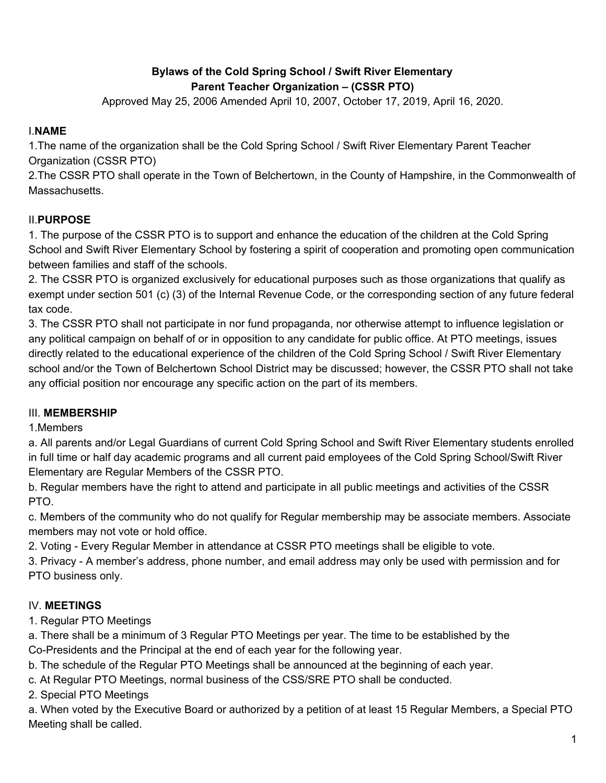## **Bylaws of the Cold Spring School / Swift River Elementary Parent Teacher Organization – (CSSR PTO)**

Approved May 25, 2006 Amended April 10, 2007, October 17, 2019, April 16, 2020.

## I.**NAME**

1.The name of the organization shall be the Cold Spring School / Swift River Elementary Parent Teacher Organization (CSSR PTO)

2.The CSSR PTO shall operate in the Town of Belchertown, in the County of Hampshire, in the Commonwealth of Massachusetts.

# II.**PURPOSE**

1. The purpose of the CSSR PTO is to support and enhance the education of the children at the Cold Spring School and Swift River Elementary School by fostering a spirit of cooperation and promoting open communication between families and staff of the schools.

2. The CSSR PTO is organized exclusively for educational purposes such as those organizations that qualify as exempt under section 501 (c) (3) of the Internal Revenue Code, or the corresponding section of any future federal tax code.

3. The CSSR PTO shall not participate in nor fund propaganda, nor otherwise attempt to influence legislation or any political campaign on behalf of or in opposition to any candidate for public office. At PTO meetings, issues directly related to the educational experience of the children of the Cold Spring School / Swift River Elementary school and/or the Town of Belchertown School District may be discussed; however, the CSSR PTO shall not take any official position nor encourage any specific action on the part of its members.

## III. **MEMBERSHIP**

## 1.Members

a. All parents and/or Legal Guardians of current Cold Spring School and Swift River Elementary students enrolled in full time or half day academic programs and all current paid employees of the Cold Spring School/Swift River Elementary are Regular Members of the CSSR PTO.

b. Regular members have the right to attend and participate in all public meetings and activities of the CSSR PTO.

c. Members of the community who do not qualify for Regular membership may be associate members. Associate members may not vote or hold office.

2. Voting - Every Regular Member in attendance at CSSR PTO meetings shall be eligible to vote.

3. Privacy - A member's address, phone number, and email address may only be used with permission and for PTO business only.

# IV. **MEETINGS**

1. Regular PTO Meetings

a. There shall be a minimum of 3 Regular PTO Meetings per year. The time to be established by the

Co-Presidents and the Principal at the end of each year for the following year.

b. The schedule of the Regular PTO Meetings shall be announced at the beginning of each year.

c. At Regular PTO Meetings, normal business of the CSS/SRE PTO shall be conducted.

2. Special PTO Meetings

a. When voted by the Executive Board or authorized by a petition of at least 15 Regular Members, a Special PTO Meeting shall be called.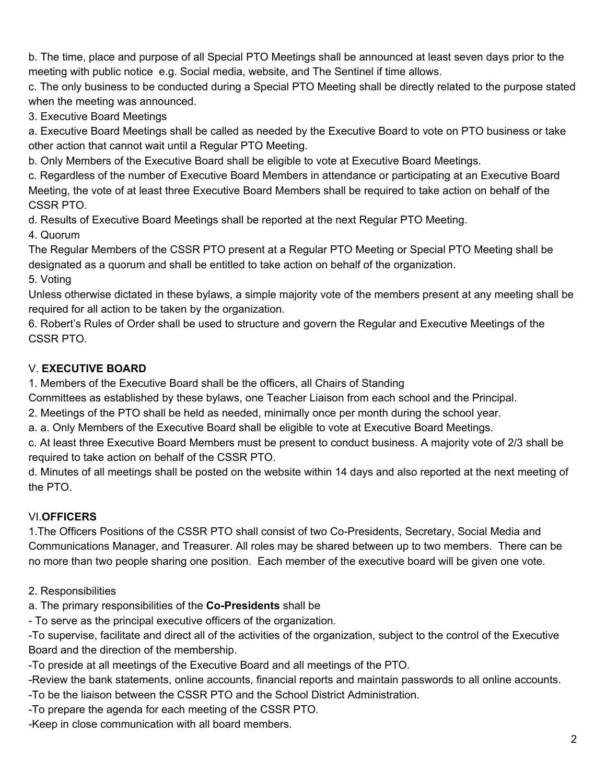b. The time, place and purpose of all Special PTO Meetings shall be announced at least seven days prior to the meeting with public notice e.g. Social media, website, and The Sentinel if time allows.

c. The only business to be conducted during a Special PTO Meeting shall be directly related to the purpose stated when the meeting was announced.

3. Executive Board Meetings

a. Executive Board Meetings shall be called as needed by the Executive Board to vote on PTO business or take other action that cannot wait until a Regular PTO Meeting.

b. Only Members of the Executive Board shall be eligible to vote at Executive Board Meetings.

c. Regardless of the number of Executive Board Members in attendance or participating at an Executive Board Meeting, the vote of at least three Executive Board Members shall be required to take action on behalf of the CSSR PTO.

d. Results of Executive Board Meetings shall be reported at the next Regular PTO Meeting.

4. Quorum

The Regular Members of the CSSR PTO present at a Regular PTO Meeting or Special PTO Meeting shall be designated as a quorum and shall be entitled to take action on behalf of the organization.

5. Voting

Unless otherwise dictated in these bylaws, a simple majority vote of the members present at any meeting shall be required for all action to be taken by the organization.

6. Robert's Rules of Order shall be used to structure and govern the Regular and Executive Meetings of the CSSR PTO.

## V. **EXECUTIVE BOARD**

1. Members of the Executive Board shall be the officers, all Chairs of Standing

Committees as established by these bylaws, one Teacher Liaison from each school and the Principal.

2. Meetings of the PTO shall be held as needed, minimally once per month during the school year.

a. a. Only Members of the Executive Board shall be eligible to vote at Executive Board Meetings.

c. At least three Executive Board Members must be present to conduct business. A majority vote of 2/3 shall be required to take action on behalf of the CSSR PTO.

d. Minutes of all meetings shall be posted on the website within 14 days and also reported at the next meeting of the PTO.

# VI.**OFFICERS**

1.The Officers Positions of the CSSR PTO shall consist of two Co-Presidents, Secretary, Social Media and Communications Manager, and Treasurer. All roles may be shared between up to two members. There can be no more than two people sharing one position. Each member of the executive board will be given one vote.

2. Responsibilities

a. The primary responsibilities of the **Co-Presidents** shall be

- To serve as the principal executive officers of the organization.

-To supervise, facilitate and direct all of the activities of the organization, subject to the control of the Executive Board and the direction of the membership.

-To preside at all meetings of the Executive Board and all meetings of the PTO.

-Review the bank statements, online accounts, financial reports and maintain passwords to all online accounts.

-To be the liaison between the CSSR PTO and the School District Administration.

-To prepare the agenda for each meeting of the CSSR PTO.

-Keep in close communication with all board members.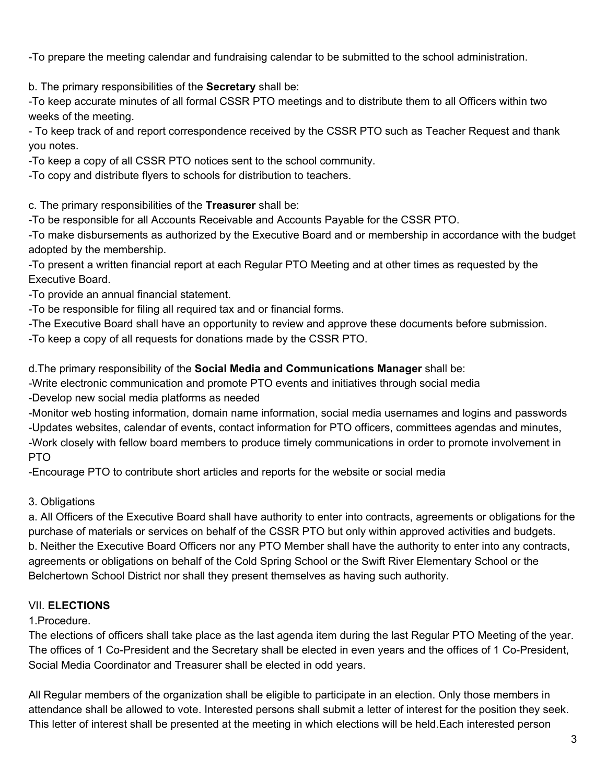-To prepare the meeting calendar and fundraising calendar to be submitted to the school administration.

b. The primary responsibilities of the **Secretary** shall be:

-To keep accurate minutes of all formal CSSR PTO meetings and to distribute them to all Officers within two weeks of the meeting.

- To keep track of and report correspondence received by the CSSR PTO such as Teacher Request and thank you notes.

-To keep a copy of all CSSR PTO notices sent to the school community.

-To copy and distribute flyers to schools for distribution to teachers.

c. The primary responsibilities of the **Treasurer** shall be:

-To be responsible for all Accounts Receivable and Accounts Payable for the CSSR PTO.

-To make disbursements as authorized by the Executive Board and or membership in accordance with the budget adopted by the membership.

-To present a written financial report at each Regular PTO Meeting and at other times as requested by the Executive Board.

-To provide an annual financial statement.

-To be responsible for filing all required tax and or financial forms.

-The Executive Board shall have an opportunity to review and approve these documents before submission.

-To keep a copy of all requests for donations made by the CSSR PTO.

d.The primary responsibility of the **Social Media and Communications Manager** shall be:

-Write electronic communication and promote PTO events and initiatives through social media

-Develop new social media platforms as needed

-Monitor web hosting information, domain name information, social media usernames and logins and passwords -Updates websites, calendar of events, contact information for PTO officers, committees agendas and minutes, -Work closely with fellow board members to produce timely communications in order to promote involvement in PTO

-Encourage PTO to contribute short articles and reports for the website or social media

### 3. Obligations

a. All Officers of the Executive Board shall have authority to enter into contracts, agreements or obligations for the purchase of materials or services on behalf of the CSSR PTO but only within approved activities and budgets. b. Neither the Executive Board Officers nor any PTO Member shall have the authority to enter into any contracts, agreements or obligations on behalf of the Cold Spring School or the Swift River Elementary School or the Belchertown School District nor shall they present themselves as having such authority.

### VII. **ELECTIONS**

#### 1.Procedure.

The elections of officers shall take place as the last agenda item during the last Regular PTO Meeting of the year. The offices of 1 Co-President and the Secretary shall be elected in even years and the offices of 1 Co-President, Social Media Coordinator and Treasurer shall be elected in odd years.

All Regular members of the organization shall be eligible to participate in an election. Only those members in attendance shall be allowed to vote. Interested persons shall submit a letter of interest for the position they seek. This letter of interest shall be presented at the meeting in which elections will be held.Each interested person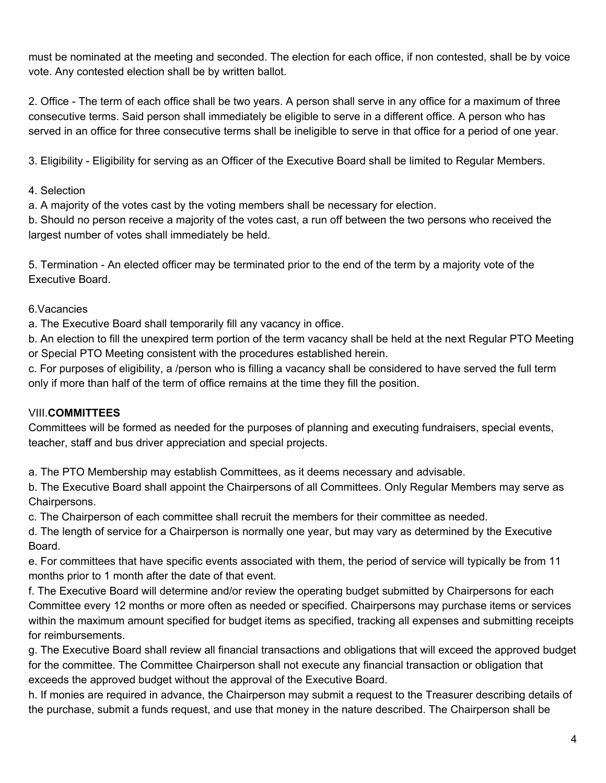must be nominated at the meeting and seconded. The election for each office, if non contested, shall be by voice vote. Any contested election shall be by written ballot.

2. Office - The term of each office shall be two years. A person shall serve in any office for a maximum of three consecutive terms. Said person shall immediately be eligible to serve in a different office. A person who has served in an office for three consecutive terms shall be ineligible to serve in that office for a period of one year.

3. Eligibility - Eligibility for serving as an Officer of the Executive Board shall be limited to Regular Members.

#### 4. Selection

a. A majority of the votes cast by the voting members shall be necessary for election.

b. Should no person receive a majority of the votes cast, a run off between the two persons who received the largest number of votes shall immediately be held.

5. Termination - An elected officer may be terminated prior to the end of the term by a majority vote of the Executive Board.

#### 6.Vacancies

a. The Executive Board shall temporarily fill any vacancy in office.

b. An election to fill the unexpired term portion of the term vacancy shall be held at the next Regular PTO Meeting or Special PTO Meeting consistent with the procedures established herein.

c. For purposes of eligibility, a /person who is filling a vacancy shall be considered to have served the full term only if more than half of the term of office remains at the time they fill the position.

### VIII.**COMMITTEES**

Committees will be formed as needed for the purposes of planning and executing fundraisers, special events, teacher, staff and bus driver appreciation and special projects.

a. The PTO Membership may establish Committees, as it deems necessary and advisable.

b. The Executive Board shall appoint the Chairpersons of all Committees. Only Regular Members may serve as Chairpersons.

c. The Chairperson of each committee shall recruit the members for their committee as needed.

d. The length of service for a Chairperson is normally one year, but may vary as determined by the Executive Board.

e. For committees that have specific events associated with them, the period of service will typically be from 11 months prior to 1 month after the date of that event.

f. The Executive Board will determine and/or review the operating budget submitted by Chairpersons for each Committee every 12 months or more often as needed or specified. Chairpersons may purchase items or services within the maximum amount specified for budget items as specified, tracking all expenses and submitting receipts for reimbursements.

g. The Executive Board shall review all financial transactions and obligations that will exceed the approved budget for the committee. The Committee Chairperson shall not execute any financial transaction or obligation that exceeds the approved budget without the approval of the Executive Board.

h. If monies are required in advance, the Chairperson may submit a request to the Treasurer describing details of the purchase, submit a funds request, and use that money in the nature described. The Chairperson shall be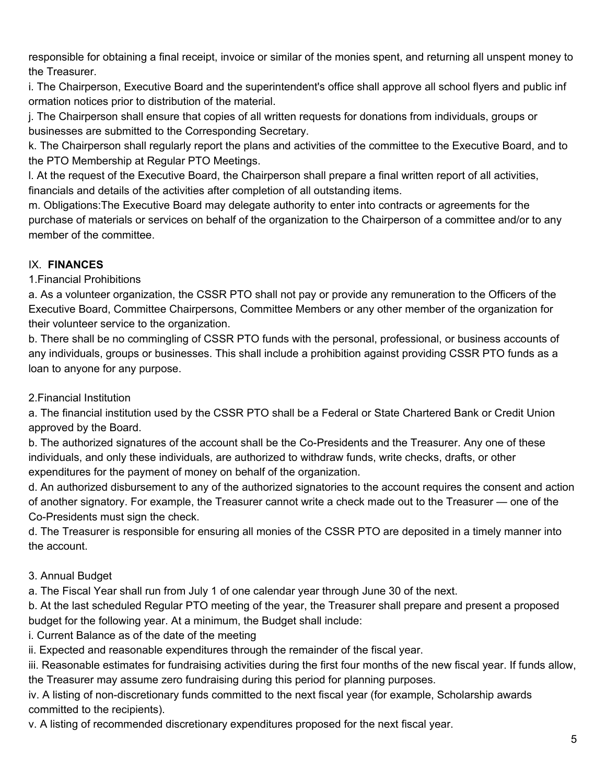responsible for obtaining a final receipt, invoice or similar of the monies spent, and returning all unspent money to the Treasurer.

i. The Chairperson, Executive Board and the superintendent's office shall approve all school flyers and public inf ormation notices prior to distribution of the material.

j. The Chairperson shall ensure that copies of all written requests for donations from individuals, groups or businesses are submitted to the Corresponding Secretary.

k. The Chairperson shall regularly report the plans and activities of the committee to the Executive Board, and to the PTO Membership at Regular PTO Meetings.

l. At the request of the Executive Board, the Chairperson shall prepare a final written report of all activities, financials and details of the activities after completion of all outstanding items.

m. Obligations:The Executive Board may delegate authority to enter into contracts or agreements for the purchase of materials or services on behalf of the organization to the Chairperson of a committee and/or to any member of the committee.

### IX. **FINANCES**

1.Financial Prohibitions

a. As a volunteer organization, the CSSR PTO shall not pay or provide any remuneration to the Officers of the Executive Board, Committee Chairpersons, Committee Members or any other member of the organization for their volunteer service to the organization.

b. There shall be no commingling of CSSR PTO funds with the personal, professional, or business accounts of any individuals, groups or businesses. This shall include a prohibition against providing CSSR PTO funds as a loan to anyone for any purpose.

### 2.Financial Institution

a. The financial institution used by the CSSR PTO shall be a Federal or State Chartered Bank or Credit Union approved by the Board.

b. The authorized signatures of the account shall be the Co-Presidents and the Treasurer. Any one of these individuals, and only these individuals, are authorized to withdraw funds, write checks, drafts, or other expenditures for the payment of money on behalf of the organization.

d. An authorized disbursement to any of the authorized signatories to the account requires the consent and action of another signatory. For example, the Treasurer cannot write a check made out to the Treasurer — one of the Co-Presidents must sign the check.

d. The Treasurer is responsible for ensuring all monies of the CSSR PTO are deposited in a timely manner into the account.

## 3. Annual Budget

a. The Fiscal Year shall run from July 1 of one calendar year through June 30 of the next.

b. At the last scheduled Regular PTO meeting of the year, the Treasurer shall prepare and present a proposed budget for the following year. At a minimum, the Budget shall include:

i. Current Balance as of the date of the meeting

ii. Expected and reasonable expenditures through the remainder of the fiscal year.

iii. Reasonable estimates for fundraising activities during the first four months of the new fiscal year. If funds allow, the Treasurer may assume zero fundraising during this period for planning purposes.

iv. A listing of non-discretionary funds committed to the next fiscal year (for example, Scholarship awards committed to the recipients).

v. A listing of recommended discretionary expenditures proposed for the next fiscal year.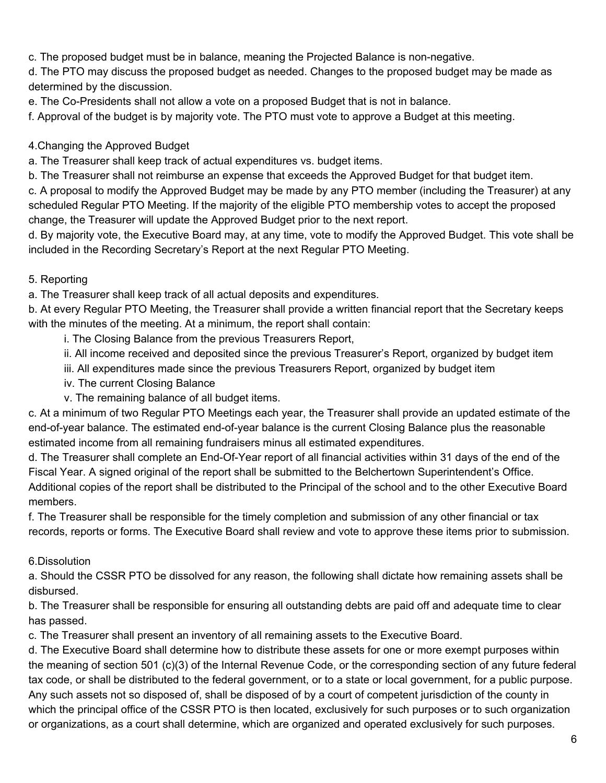c. The proposed budget must be in balance, meaning the Projected Balance is non-negative.

d. The PTO may discuss the proposed budget as needed. Changes to the proposed budget may be made as determined by the discussion.

e. The Co-Presidents shall not allow a vote on a proposed Budget that is not in balance.

f. Approval of the budget is by majority vote. The PTO must vote to approve a Budget at this meeting.

#### 4.Changing the Approved Budget

a. The Treasurer shall keep track of actual expenditures vs. budget items.

b. The Treasurer shall not reimburse an expense that exceeds the Approved Budget for that budget item.

c. A proposal to modify the Approved Budget may be made by any PTO member (including the Treasurer) at any scheduled Regular PTO Meeting. If the majority of the eligible PTO membership votes to accept the proposed change, the Treasurer will update the Approved Budget prior to the next report.

d. By majority vote, the Executive Board may, at any time, vote to modify the Approved Budget. This vote shall be included in the Recording Secretary's Report at the next Regular PTO Meeting.

#### 5. Reporting

a. The Treasurer shall keep track of all actual deposits and expenditures.

b. At every Regular PTO Meeting, the Treasurer shall provide a written financial report that the Secretary keeps with the minutes of the meeting. At a minimum, the report shall contain:

i. The Closing Balance from the previous Treasurers Report,

ii. All income received and deposited since the previous Treasurer's Report, organized by budget item

- iii. All expenditures made since the previous Treasurers Report, organized by budget item
- iv. The current Closing Balance
- v. The remaining balance of all budget items.

c. At a minimum of two Regular PTO Meetings each year, the Treasurer shall provide an updated estimate of the end-of-year balance. The estimated end-of-year balance is the current Closing Balance plus the reasonable estimated income from all remaining fundraisers minus all estimated expenditures.

d. The Treasurer shall complete an End-Of-Year report of all financial activities within 31 days of the end of the Fiscal Year. A signed original of the report shall be submitted to the Belchertown Superintendent's Office. Additional copies of the report shall be distributed to the Principal of the school and to the other Executive Board members.

f. The Treasurer shall be responsible for the timely completion and submission of any other financial or tax records, reports or forms. The Executive Board shall review and vote to approve these items prior to submission.

### 6.Dissolution

a. Should the CSSR PTO be dissolved for any reason, the following shall dictate how remaining assets shall be disbursed.

b. The Treasurer shall be responsible for ensuring all outstanding debts are paid off and adequate time to clear has passed.

c. The Treasurer shall present an inventory of all remaining assets to the Executive Board.

d. The Executive Board shall determine how to distribute these assets for one or more exempt purposes within the meaning of section 501 (c)(3) of the Internal Revenue Code, or the corresponding section of any future federal tax code, or shall be distributed to the federal government, or to a state or local government, for a public purpose. Any such assets not so disposed of, shall be disposed of by a court of competent jurisdiction of the county in which the principal office of the CSSR PTO is then located, exclusively for such purposes or to such organization or organizations, as a court shall determine, which are organized and operated exclusively for such purposes.